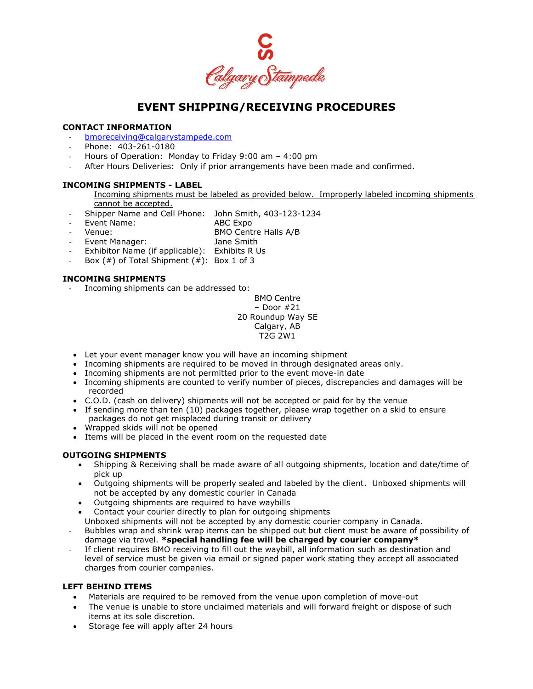

# **EVENT SHIPPING/RECEIVING PROCEDURES**

#### **CONTACT INFORMATION**

- [bmoreceiving@calgarystampede.com](mailto:bmoreceiving@calgarystampede.com)
- Phone: 403-261-0180
- Hours of Operation: Monday to Friday 9:00 am 4:00 pm
- After Hours Deliveries: Only if prior arrangements have been made and confirmed.

BMO Centre Halls A/B

#### **INCOMING SHIPMENTS - LABEL**

- Incoming shipments must be labeled as provided below. Improperly labeled incoming shipments cannot be accepted.
- Shipper Name and Cell Phone: John Smith, 403-123-1234
- Event Name: ABC Expo<br>
Venue: AMO Cent
- - Event Manager: Jane Smith
- Exhibitor Name (if applicable): Exhibits R Us
- Box  $( #)$  of Total Shipment  $( #)$ : Box 1 of 3

## **INCOMING SHIPMENTS**

Incoming shipments can be addressed to:

BMO Centre – Door #21 20 Roundup Way SE Calgary, AB T2G 2W1

- Let your event manager know you will have an incoming shipment
- Incoming shipments are required to be moved in through designated areas only.
- Incoming shipments are not permitted prior to the event move-in date
- Incoming shipments are counted to verify number of pieces, discrepancies and damages will be recorded
- C.O.D. (cash on delivery) shipments will not be accepted or paid for by the venue
- If sending more than ten (10) packages together, please wrap together on a skid to ensure packages do not get misplaced during transit or delivery
- Wrapped skids will not be opened
- Items will be placed in the event room on the requested date

## **OUTGOING SHIPMENTS**

- Shipping & Receiving shall be made aware of all outgoing shipments, location and date/time of pick up
- Outgoing shipments will be properly sealed and labeled by the client. Unboxed shipments will not be accepted by any domestic courier in Canada
- Outgoing shipments are required to have waybills
- Contact your courier directly to plan for outgoing shipments Unboxed shipments will not be accepted by any domestic courier company in Canada.
- Bubbles wrap and shrink wrap items can be shipped out but client must be aware of possibility of damage via travel. **\*special handling fee will be charged by courier company\***
- If client requires BMO receiving to fill out the waybill, all information such as destination and level of service must be given via email or signed paper work stating they accept all associated charges from courier companies.

## **LEFT BEHIND ITEMS**

- Materials are required to be removed from the venue upon completion of move-out
- The venue is unable to store unclaimed materials and will forward freight or dispose of such items at its sole discretion.
- Storage fee will apply after 24 hours